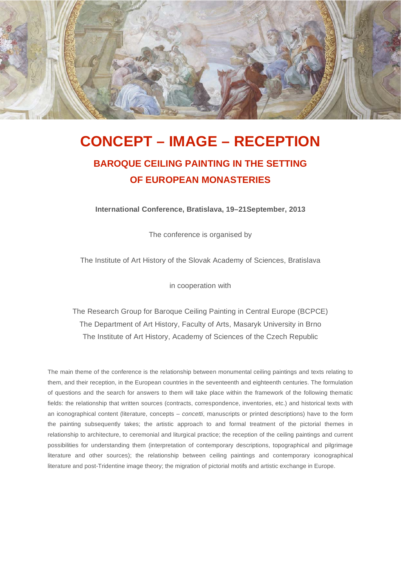

# **CONCEPT – IMAGE – RECEPTION**

## **BAROQUE CEILING PAINTING IN THE SETTING OF EUROPEAN MONASTERIES**

**International Conference, Bratislava, 19–21September, 2013** 

The conference is organised by

The Institute of Art History of the Slovak Academy of Sciences, Bratislava

in cooperation with

The Research Group for Baroque Ceiling Painting in Central Europe (BCPCE) The Department of Art History, Faculty of Arts, Masaryk University in Brno The Institute of Art History, Academy of Sciences of the Czech Republic

The main theme of the conference is the relationship between monumental ceiling paintings and texts relating to them, and their reception, in the European countries in the seventeenth and eighteenth centuries. The formulation of questions and the search for answers to them will take place within the framework of the following thematic fields: the relationship that written sources (contracts, correspondence, inventories, etc.) and historical texts with an iconographical content (literature, concepts – *concetti*, manuscripts or printed descriptions) have to the form the painting subsequently takes; the artistic approach to and formal treatment of the pictorial themes in relationship to architecture, to ceremonial and liturgical practice; the reception of the ceiling paintings and current possibilities for understanding them (interpretation of contemporary descriptions, topographical and pilgrimage literature and other sources); the relationship between ceiling paintings and contemporary iconographical literature and post-Tridentine image theory; the migration of pictorial motifs and artistic exchange in Europe.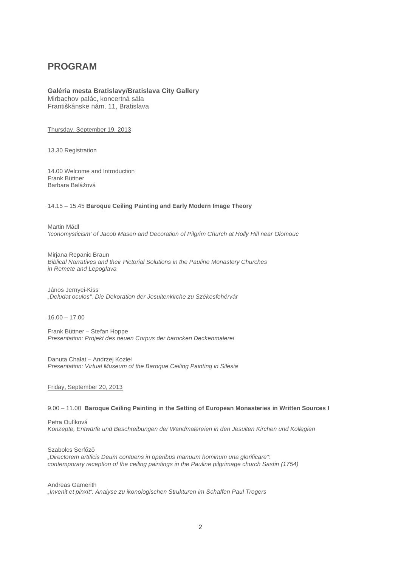### **PROGRAM**

#### **Galéria mesta Bratislavy/Bratislava City Gallery**  Mirbachov palác, koncertná sála

Františkánske nám. 11. Bratislava

Thursday, September 19, 2013

13.30 Registration

14.00 Welcome and Introduction Frank Büttner Barbara Balážová

#### 14.15 – 15.45 **Baroque Ceiling Painting and Early Modern Image Theory**

Martin Mádl *'Iconomysticism' of Jacob Masen and Decoration of Pilgrim Church at Holly Hill near Olomouc* 

Mirjana Repanic Braun *Biblical Narratives and their Pictorial Solutions in the Pauline Monastery Churches in Remete and Lepoglava* 

János Jernyei-Kiss *"Deludat oculos". Die Dekoration der Jesuitenkirche zu Székesfehérvár* 

16.00 – 17.00

Frank Büttner – Stefan Hoppe *Presentation: Projekt des neuen Corpus der barocken Deckenmalerei* 

Danuta Chałat – Andrzej Kozieł *Presentation: Virtual Museum of the Baroque Ceiling Painting in Silesia* 

Friday, September 20, 2013

#### 9.00 – 11.00 **Baroque Ceiling Painting in the Setting of European Monasteries in Written Sources I**

Petra Oulíková *Konzepte, Entwürfe und Beschreibungen der Wandmalereien in den Jesuiten Kirchen und Kollegien* 

Szabolcs Serfőző *"Directorem artificis Deum contuens in operibus manuum hominum una glorificare": contemporary reception of the ceiling paintings in the Pauline pilgrimage church Sastin (1754)* 

Andreas Gamerith *"Invenit et pinxit": Analyse zu ikonologischen Strukturen im Schaffen Paul Trogers*